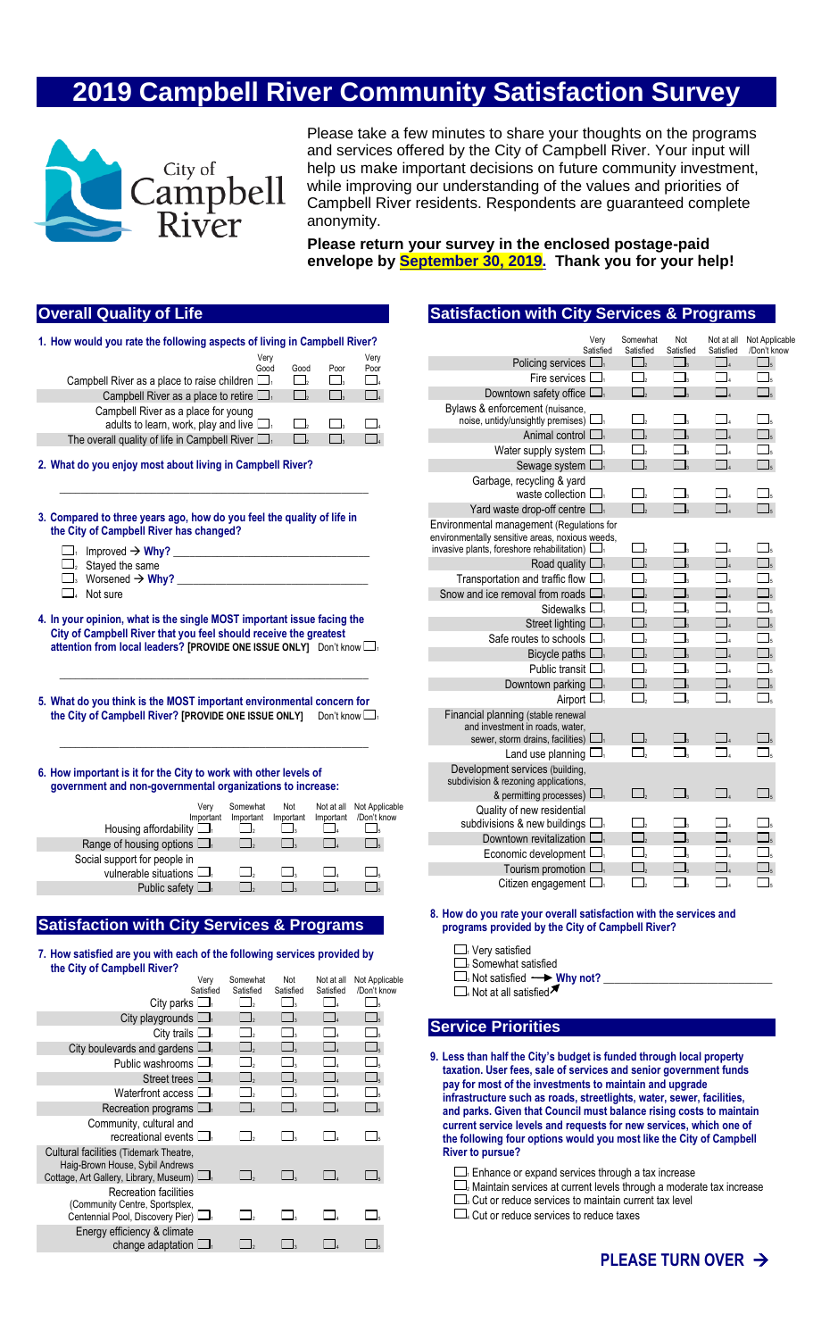# **2019 Campbell River Community Satisfaction Survey**



Please take a few minutes to share your thoughts on the programs and services offered by the City of Campbell River. Your input will help us make important decisions on future community investment, while improving our understanding of the values and priorities of Campbell River residents. Respondents are guaranteed complete anonymity.

**Please return your survey in the enclosed postage-paid envelope by September 30, 2019. Thank you for your help!**

# **Overall Quality of Life**

| 1. How would you rate the following aspects of living in Campbell River?                                                                                                                                                                                                                                                                                                                                                                   |                                                       |                                  |                          |                               |
|--------------------------------------------------------------------------------------------------------------------------------------------------------------------------------------------------------------------------------------------------------------------------------------------------------------------------------------------------------------------------------------------------------------------------------------------|-------------------------------------------------------|----------------------------------|--------------------------|-------------------------------|
|                                                                                                                                                                                                                                                                                                                                                                                                                                            | Very                                                  |                                  |                          | Verv                          |
|                                                                                                                                                                                                                                                                                                                                                                                                                                            | Good                                                  | Good                             | Poor                     | Poor                          |
| Campbell River as a place to raise children $\Box$                                                                                                                                                                                                                                                                                                                                                                                         |                                                       | $\Box$                           | $\overline{\phantom{a}}$ | $\overline{\phantom{a}}$      |
| Campbell River as a place to retire $\Box$                                                                                                                                                                                                                                                                                                                                                                                                 |                                                       | $\Box$                           | $\Box$                   | $\Box$ <sub>4</sub>           |
| Campbell River as a place for young                                                                                                                                                                                                                                                                                                                                                                                                        |                                                       |                                  |                          |                               |
| adults to learn, work, play and live $\Box$                                                                                                                                                                                                                                                                                                                                                                                                |                                                       | $\Box$                           | $\overline{\phantom{a}}$ |                               |
| The overall quality of life in Campbell River $\Box$                                                                                                                                                                                                                                                                                                                                                                                       |                                                       | $\Box$                           | $\overline{\phantom{a}}$ | $\overline{A}$                |
| 2. What do you enjoy most about living in Campbell River?                                                                                                                                                                                                                                                                                                                                                                                  |                                                       |                                  |                          |                               |
| 3. Compared to three years ago, how do you feel the quality of life in<br>the City of Campbell River has changed?<br>$\Box$<br>Improved $\rightarrow$ Why?<br>$\Box$ <sub>2</sub> Stayed the same<br>$\Box$ Not sure<br>4. In your opinion, what is the single MOST important issue facing the<br>City of Campbell River that you feel should receive the greatest<br>attention from local leaders? [PROVIDE ONE ISSUE ONLY] Don't know In | <u> 1989 - Johann Stoff, fransk politik (d. 1989)</u> |                                  |                          |                               |
| 5. What do you think is the MOST important environmental concern for<br>the City of Campbell River? [PROVIDE ONE ISSUE ONLY]                                                                                                                                                                                                                                                                                                               |                                                       |                                  | Don't know $\Box$        |                               |
| 6. How important is it for the City to work with other levels of<br>government and non-governmental organizations to increase:                                                                                                                                                                                                                                                                                                             |                                                       |                                  |                          |                               |
|                                                                                                                                                                                                                                                                                                                                                                                                                                            | Somewhat                                              |                                  |                          |                               |
| Verv<br>Important                                                                                                                                                                                                                                                                                                                                                                                                                          | Important                                             | Not<br>Important                 | Not at all<br>Important  | Not Applicable<br>/Don't know |
| Housing affordability $\Box$                                                                                                                                                                                                                                                                                                                                                                                                               | $\Box$                                                | $\Box$ <sub>3</sub>              | $\Box$                   | $\Box$ <sub>5</sub>           |
| Range of housing options $\Box$                                                                                                                                                                                                                                                                                                                                                                                                            | $\Box$                                                | $\Box_{\scriptscriptstyle\rm S}$ | $\Box$                   | $\overline{\phantom{a}}_5$    |
| Social support for people in                                                                                                                                                                                                                                                                                                                                                                                                               |                                                       |                                  |                          |                               |
| vulnerable situations $\Box$                                                                                                                                                                                                                                                                                                                                                                                                               |                                                       | $\Box_3$                         |                          |                               |
|                                                                                                                                                                                                                                                                                                                                                                                                                                            | $\Box$                                                |                                  | $\Box$                   | $\overline{\phantom{a}}$      |
| Public safety $\Box$                                                                                                                                                                                                                                                                                                                                                                                                                       | $\Box$ ,                                              | $\Box$                           | $\Box$                   | $\mathbb{Z}$                  |
| <b>Satisfaction with City Services &amp; Programs</b>                                                                                                                                                                                                                                                                                                                                                                                      |                                                       |                                  |                          |                               |
| 7. How satisfied are you with each of the following services provided by<br>the City of Campbell River?                                                                                                                                                                                                                                                                                                                                    |                                                       |                                  |                          |                               |

| the City of Campbell River?                                                                                                |                          |                          |                         |                               |
|----------------------------------------------------------------------------------------------------------------------------|--------------------------|--------------------------|-------------------------|-------------------------------|
| Very<br>Satisfied                                                                                                          | Somewhat<br>Satisfied    | Not<br>Satisfied         | Not at all<br>Satisfied | Not Applicable<br>/Don't know |
| City parks $\Box$                                                                                                          | $\Box_2$                 | $\Box$                   | ΙL.                     | $\Box_{\mathfrak{s}}$         |
| City playgrounds $\Box$                                                                                                    | $\Box$                   | $\Box$                   | ΓI.                     | $\Box$ <sub>5</sub>           |
| City trails $\Box$                                                                                                         | $\overline{\phantom{a}}$ | $\overline{\phantom{a}}$ |                         |                               |
| City boulevards and gardens $\Box$                                                                                         | $\overline{\phantom{a}}$ | $\overline{\phantom{a}}$ | $\blacksquare$          | $\Box_5$                      |
| Public washrooms $\Box$                                                                                                    | $\overline{\phantom{a}}$ | $\blacksquare$           |                         | $\Box$ <sub>5</sub>           |
| Street trees $\Box$                                                                                                        | $\Box$                   | $\overline{\phantom{a}}$ | l L                     | $\Box_{5}$                    |
| Waterfront access $\Box$                                                                                                   | $\mathbf{I}$             |                          |                         | $\Box$                        |
| Recreation programs $\Box$                                                                                                 | $\overline{\phantom{a}}$ | $\overline{\phantom{a}}$ |                         |                               |
| Community, cultural and<br>recreational events $\Box$                                                                      |                          | $\Box$                   |                         | ⊆ls                           |
| Cultural facilities (Tidemark Theatre,<br>Haig-Brown House, Sybil Andrews<br>Cottage, Art Gallery, Library, Museum) $\Box$ |                          |                          |                         |                               |
| Recreation facilities<br>(Community Centre, Sportsplex,<br>Centennial Pool, Discovery Pier) Land                           |                          |                          |                         |                               |
| Energy efficiency & climate<br>change adaptation $\Box$                                                                    |                          |                          |                         |                               |

## **Satisfaction with City Services & Programs**

| Verv<br>Satisfied                                        | Somewhat<br>Satisfied                    | Not<br>Satisfied                 | Not at all<br>Satisfied | Not Applicable<br>/Don't know |
|----------------------------------------------------------|------------------------------------------|----------------------------------|-------------------------|-------------------------------|
| Policing services $\square$                              | $\Box$                                   | $\Box_3$                         | $\Box$                  | $\Box$ <sub>5</sub>           |
| Fire services I                                          | $\Box$                                   |                                  |                         |                               |
| Downtown safety office $\Box$                            | $\Box$                                   |                                  |                         |                               |
| Bylaws & enforcement (nuisance,                          |                                          |                                  |                         |                               |
| noise, untidy/unsightly premises) I                      |                                          |                                  |                         |                               |
| Animal control $\Box$                                    | $\Box$                                   |                                  |                         |                               |
| Water supply system I                                    | $\Box$                                   |                                  |                         |                               |
| Sewage system $\Box$                                     | $\Box_{\scriptscriptstyle 2}$            |                                  |                         |                               |
| Garbage, recycling & yard                                |                                          |                                  |                         |                               |
| waste collection [                                       |                                          |                                  |                         |                               |
| Yard waste drop-off centre $\square$                     | $\Box$                                   | $\Box_{\scriptscriptstyle\rm S}$ |                         |                               |
| Environmental management (Regulations for                |                                          |                                  |                         |                               |
| environmentally sensitive areas, noxious weeds,          | $\Box$ ,                                 |                                  |                         |                               |
| invasive plants, foreshore rehabilitation) $\Box$        | $\Box$                                   | $\Box_{\scriptscriptstyle{3}}$   |                         | $\Box$                        |
| Road quality $\Box$<br>Transportation and traffic flow I | $\overline{\Box}_{\scriptscriptstyle 2}$ | $\Box$                           |                         | Ц,                            |
| Snow and ice removal from roads I                        | $\Box$                                   |                                  |                         | $\Box_{\mathfrak{s}}$         |
| Sidewalks <sup>[</sup>                                   | $\Box$                                   |                                  |                         |                               |
| Street lighting $\Box$                                   | $\Box$                                   | $\Box$                           |                         | $\Box$ <sub>5</sub>           |
| Safe routes to schools I                                 | $\Box_{\scriptscriptstyle{2}}$           | $\Box$                           |                         |                               |
| Bicycle paths I                                          | $\Box$                                   |                                  |                         |                               |
| Public transit $\Box$                                    | $\Box_{\scriptscriptstyle{2}}$           | Γι                               |                         |                               |
| Downtown parking [                                       | $\Box$                                   |                                  |                         |                               |
| Airport L<br>$\Box$                                      | $\mathbf{I}_{2}$                         | $\mathbf{I}_3$                   |                         |                               |
| Financial planning (stable renewal                       |                                          |                                  |                         |                               |
| and investment in roads, water,                          |                                          |                                  |                         |                               |
| sewer, storm drains, facilities) L<br>$\Box$             | $\Box$                                   | $\Box$                           |                         |                               |
| Land use planning I                                      | $\Box$                                   | $\Box_{\tt s}$                   |                         |                               |
| Development services (building,                          |                                          |                                  |                         |                               |
| subdivision & rezoning applications,                     |                                          |                                  |                         |                               |
| & permitting processes) $\Box$                           | $\overline{\phantom{a}}$                 |                                  |                         |                               |
| Quality of new residential                               |                                          |                                  |                         |                               |
| subdivisions & new buildings I                           | $\Box$                                   |                                  |                         |                               |
| Downtown revitalization D                                |                                          |                                  |                         |                               |
| Economic development                                     |                                          |                                  |                         |                               |
| Tourism promotion I                                      |                                          |                                  |                         |                               |
| Citizen engagement I                                     |                                          |                                  |                         |                               |
|                                                          |                                          |                                  |                         |                               |

**8. How do you rate your overall satisfaction with the services and programs provided by the City of Campbell River?**

 $\Box$ <sub>1</sub> Very satisfied

 $\square$ <sub>2</sub> Somewhat satisfied

 $\Box$ <sub>3</sub> Not satisfied  $\longrightarrow$  Why not?

 $\square$ . Not at all satisfied

## **Service Priorities**

**9. Less than half the City's budget is funded through local property taxation. User fees, sale of services and senior government funds pay for most of the investments to maintain and upgrade infrastructure such as roads, streetlights, water, sewer, facilities, and parks. Given that Council must balance rising costs to maintain current service levels and requests for new services, which one of the following four options would you most like the City of Campbell River to pursue?**

 $\Box$ <sub>1</sub> Enhance or expand services through a tax increase

 $\square$ <sup>2</sup> Maintain services at current levels through a moderate tax increase  $\square$ <sub>3</sub> Cut or reduce services to maintain current tax level

 $\Box$ <sub>4</sub> Cut or reduce services to reduce taxes